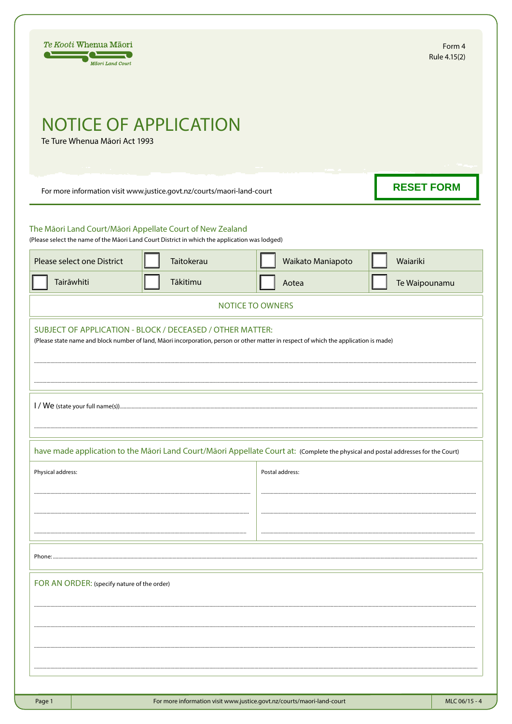| Te Kooti Whenua Māori<br>Māori Land Court                                                                                                                  |                                                                        |                         | Form 4<br>Rule 4.15(2) |
|------------------------------------------------------------------------------------------------------------------------------------------------------------|------------------------------------------------------------------------|-------------------------|------------------------|
| <b>NOTICE OF APPLICATION</b>                                                                                                                               |                                                                        |                         |                        |
| Te Ture Whenua Māori Act 1993                                                                                                                              |                                                                        |                         |                        |
| For more information visit www.justice.govt.nz/courts/maori-land-court                                                                                     |                                                                        |                         | <b>RESET FORM</b>      |
| The Māori Land Court/Māori Appellate Court of New Zealand<br>(Please select the name of the Māori Land Court District in which the application was lodged) |                                                                        |                         |                        |
| Please select one District                                                                                                                                 | Taitokerau                                                             | Waikato Maniapoto       | Waiariki               |
| Tairāwhiti                                                                                                                                                 | Tākitimu                                                               | Aotea                   | Te Waipounamu          |
|                                                                                                                                                            |                                                                        | <b>NOTICE TO OWNERS</b> |                        |
|                                                                                                                                                            |                                                                        |                         |                        |
|                                                                                                                                                            |                                                                        |                         |                        |
| have made application to the Māori Land Court/Māori Appellate Court at: (Complete the physical and postal addresses for the Court)                         |                                                                        |                         |                        |
| Physical address:                                                                                                                                          |                                                                        | Postal address:         |                        |
|                                                                                                                                                            |                                                                        |                         |                        |
|                                                                                                                                                            |                                                                        |                         |                        |
|                                                                                                                                                            |                                                                        |                         |                        |
| Phone:                                                                                                                                                     |                                                                        |                         |                        |
| FOR AN ORDER: (specify nature of the order)                                                                                                                |                                                                        |                         |                        |
|                                                                                                                                                            |                                                                        |                         |                        |
|                                                                                                                                                            |                                                                        |                         |                        |
|                                                                                                                                                            |                                                                        |                         |                        |
|                                                                                                                                                            |                                                                        |                         |                        |
| Page 1                                                                                                                                                     | For more information visit www.justice.govt.nz/courts/maori-land-court |                         | MLC 06/15 - 4          |